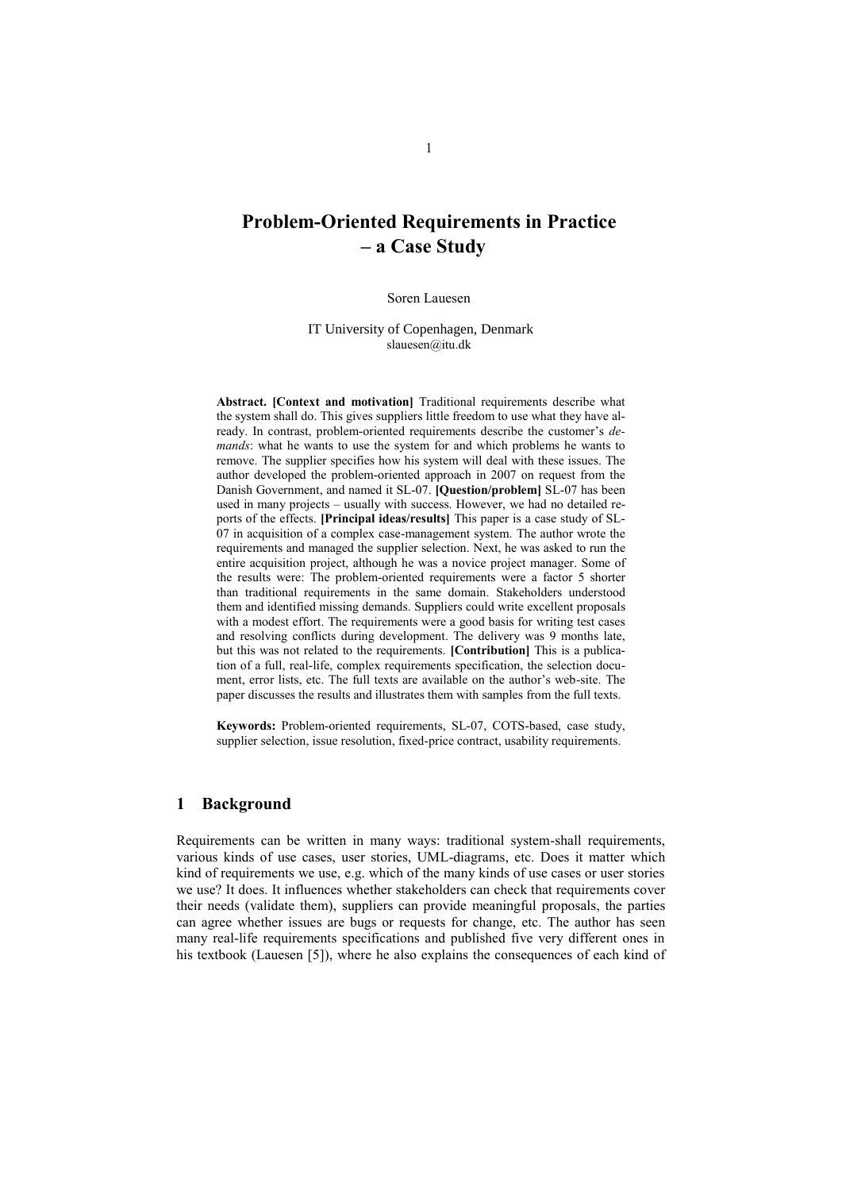# **Problem-Oriented Requirements in Practice – a Case Study**

Soren Lauesen

IT University of Copenhagen, Denmark slauesen@itu.dk

**Abstract. [Context and motivation]** Traditional requirements describe what the system shall do. This gives suppliers little freedom to use what they have already. In contrast, problem-oriented requirements describe the customer's *demands*: what he wants to use the system for and which problems he wants to remove. The supplier specifies how his system will deal with these issues. The author developed the problem-oriented approach in 2007 on request from the Danish Government, and named it SL-07. **[Question/problem]** SL-07 has been used in many projects – usually with success. However, we had no detailed reports of the effects. **[Principal ideas/results]** This paper is a case study of SL-07 in acquisition of a complex case-management system. The author wrote the requirements and managed the supplier selection. Next, he was asked to run the entire acquisition project, although he was a novice project manager. Some of the results were: The problem-oriented requirements were a factor 5 shorter than traditional requirements in the same domain. Stakeholders understood them and identified missing demands. Suppliers could write excellent proposals with a modest effort. The requirements were a good basis for writing test cases and resolving conflicts during development. The delivery was 9 months late, but this was not related to the requirements. **[Contribution]** This is a publication of a full, real-life, complex requirements specification, the selection document, error lists, etc. The full texts are available on the author's web-site. The paper discusses the results and illustrates them with samples from the full texts.

**Keywords:** Problem-oriented requirements, SL-07, COTS-based, case study, supplier selection, issue resolution, fixed-price contract, usability requirements.

# **1 Background**

Requirements can be written in many ways: traditional system-shall requirements, various kinds of use cases, user stories, UML-diagrams, etc. Does it matter which kind of requirements we use, e.g. which of the many kinds of use cases or user stories we use? It does. It influences whether stakeholders can check that requirements cover their needs (validate them), suppliers can provide meaningful proposals, the parties can agree whether issues are bugs or requests for change, etc. The author has seen many real-life requirements specifications and published five very different ones in his textbook (Lauesen [5]), where he also explains the consequences of each kind of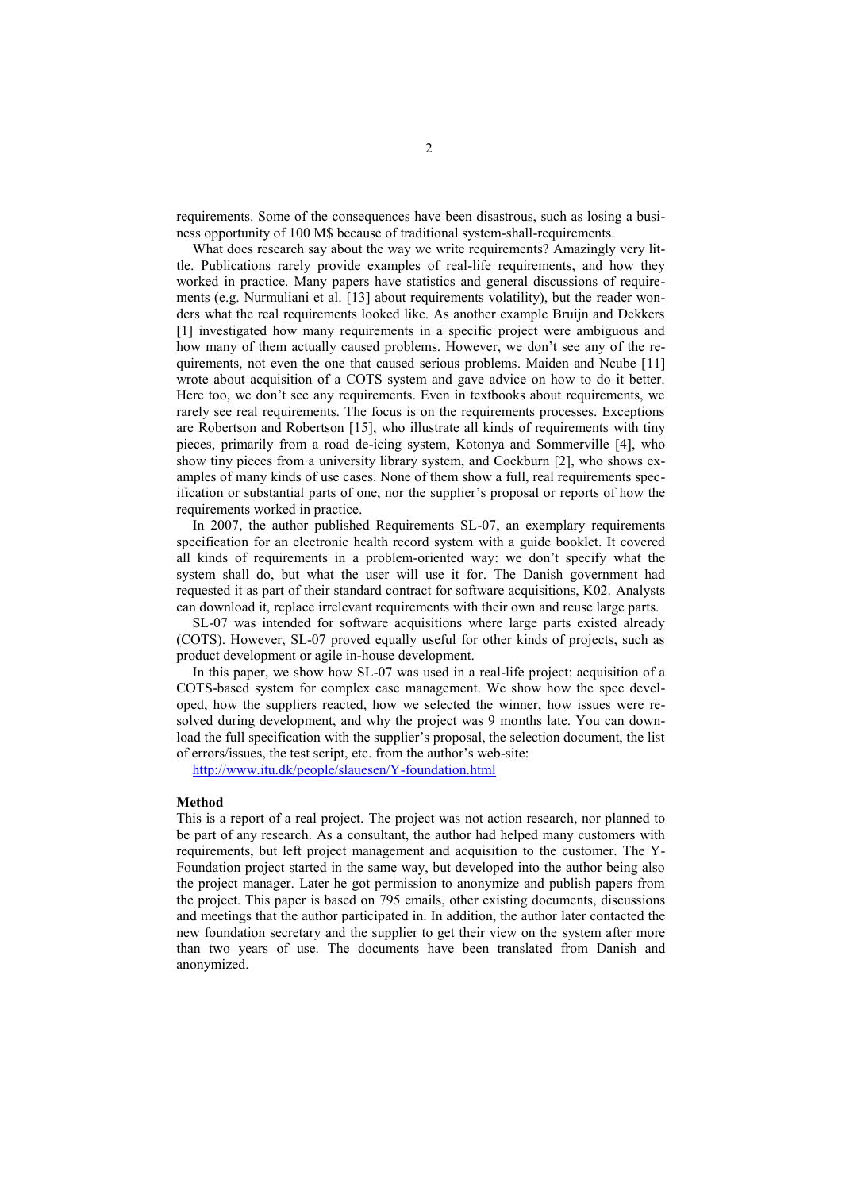requirements. Some of the consequences have been disastrous, such as losing a business opportunity of 100 M\$ because of traditional system-shall-requirements.

What does research say about the way we write requirements? Amazingly very little. Publications rarely provide examples of real-life requirements, and how they worked in practice. Many papers have statistics and general discussions of requirements (e.g. Nurmuliani et al. [13] about requirements volatility), but the reader wonders what the real requirements looked like. As another example Bruijn and Dekkers [1] investigated how many requirements in a specific project were ambiguous and how many of them actually caused problems. However, we don't see any of the requirements, not even the one that caused serious problems. Maiden and Ncube [11] wrote about acquisition of a COTS system and gave advice on how to do it better. Here too, we don't see any requirements. Even in textbooks about requirements, we rarely see real requirements. The focus is on the requirements processes. Exceptions are Robertson and Robertson [15], who illustrate all kinds of requirements with tiny pieces, primarily from a road de-icing system, Kotonya and Sommerville [4], who show tiny pieces from a university library system, and Cockburn [2], who shows examples of many kinds of use cases. None of them show a full, real requirements specification or substantial parts of one, nor the supplier's proposal or reports of how the requirements worked in practice.

In 2007, the author published Requirements SL-07, an exemplary requirements specification for an electronic health record system with a guide booklet. It covered all kinds of requirements in a problem-oriented way: we don't specify what the system shall do, but what the user will use it for. The Danish government had requested it as part of their standard contract for software acquisitions, K02. Analysts can download it, replace irrelevant requirements with their own and reuse large parts.

SL-07 was intended for software acquisitions where large parts existed already (COTS). However, SL-07 proved equally useful for other kinds of projects, such as product development or agile in-house development.

In this paper, we show how SL-07 was used in a real-life project: acquisition of a COTS-based system for complex case management. We show how the spec developed, how the suppliers reacted, how we selected the winner, how issues were resolved during development, and why the project was 9 months late. You can download the full specification with the supplier's proposal, the selection document, the list of errors/issues, the test script, etc. from the author's web-site:

<http://www.itu.dk/people/slauesen/Y-foundation.html>

#### **Method**

This is a report of a real project. The project was not action research, nor planned to be part of any research. As a consultant, the author had helped many customers with requirements, but left project management and acquisition to the customer. The Y-Foundation project started in the same way, but developed into the author being also the project manager. Later he got permission to anonymize and publish papers from the project. This paper is based on 795 emails, other existing documents, discussions and meetings that the author participated in. In addition, the author later contacted the new foundation secretary and the supplier to get their view on the system after more than two years of use. The documents have been translated from Danish and anonymized.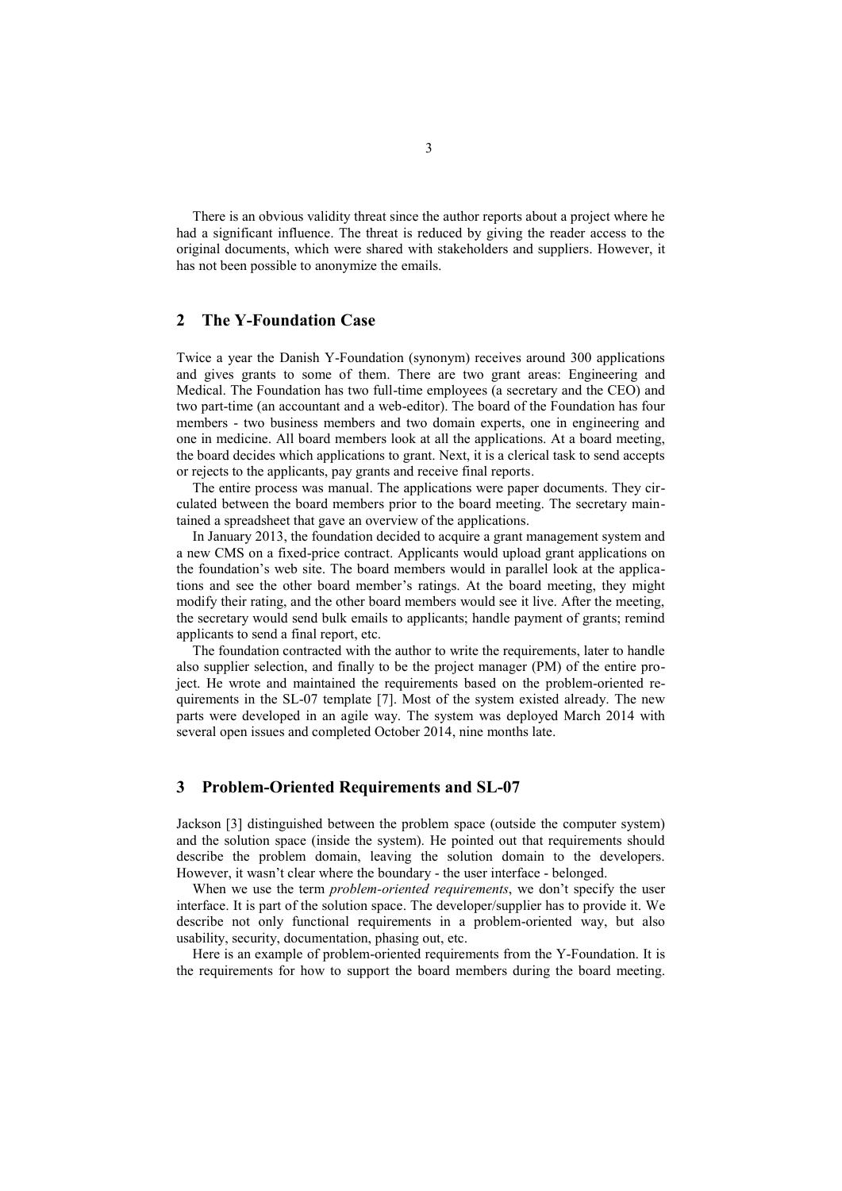There is an obvious validity threat since the author reports about a project where he had a significant influence. The threat is reduced by giving the reader access to the original documents, which were shared with stakeholders and suppliers. However, it has not been possible to anonymize the emails.

# **2 The Y-Foundation Case**

Twice a year the Danish Y-Foundation (synonym) receives around 300 applications and gives grants to some of them. There are two grant areas: Engineering and Medical. The Foundation has two full-time employees (a secretary and the CEO) and two part-time (an accountant and a web-editor). The board of the Foundation has four members - two business members and two domain experts, one in engineering and one in medicine. All board members look at all the applications. At a board meeting, the board decides which applications to grant. Next, it is a clerical task to send accepts or rejects to the applicants, pay grants and receive final reports.

The entire process was manual. The applications were paper documents. They circulated between the board members prior to the board meeting. The secretary maintained a spreadsheet that gave an overview of the applications.

In January 2013, the foundation decided to acquire a grant management system and a new CMS on a fixed-price contract. Applicants would upload grant applications on the foundation's web site. The board members would in parallel look at the applications and see the other board member's ratings. At the board meeting, they might modify their rating, and the other board members would see it live. After the meeting, the secretary would send bulk emails to applicants; handle payment of grants; remind applicants to send a final report, etc.

The foundation contracted with the author to write the requirements, later to handle also supplier selection, and finally to be the project manager (PM) of the entire project. He wrote and maintained the requirements based on the problem-oriented requirements in the SL-07 template [7]. Most of the system existed already. The new parts were developed in an agile way. The system was deployed March 2014 with several open issues and completed October 2014, nine months late.

## **3 Problem-Oriented Requirements and SL-07**

Jackson [3] distinguished between the problem space (outside the computer system) and the solution space (inside the system). He pointed out that requirements should describe the problem domain, leaving the solution domain to the developers. However, it wasn't clear where the boundary - the user interface - belonged.

When we use the term *problem-oriented requirements*, we don't specify the user interface. It is part of the solution space. The developer/supplier has to provide it. We describe not only functional requirements in a problem-oriented way, but also usability, security, documentation, phasing out, etc.

Here is an example of problem-oriented requirements from the Y-Foundation. It is the requirements for how to support the board members during the board meeting.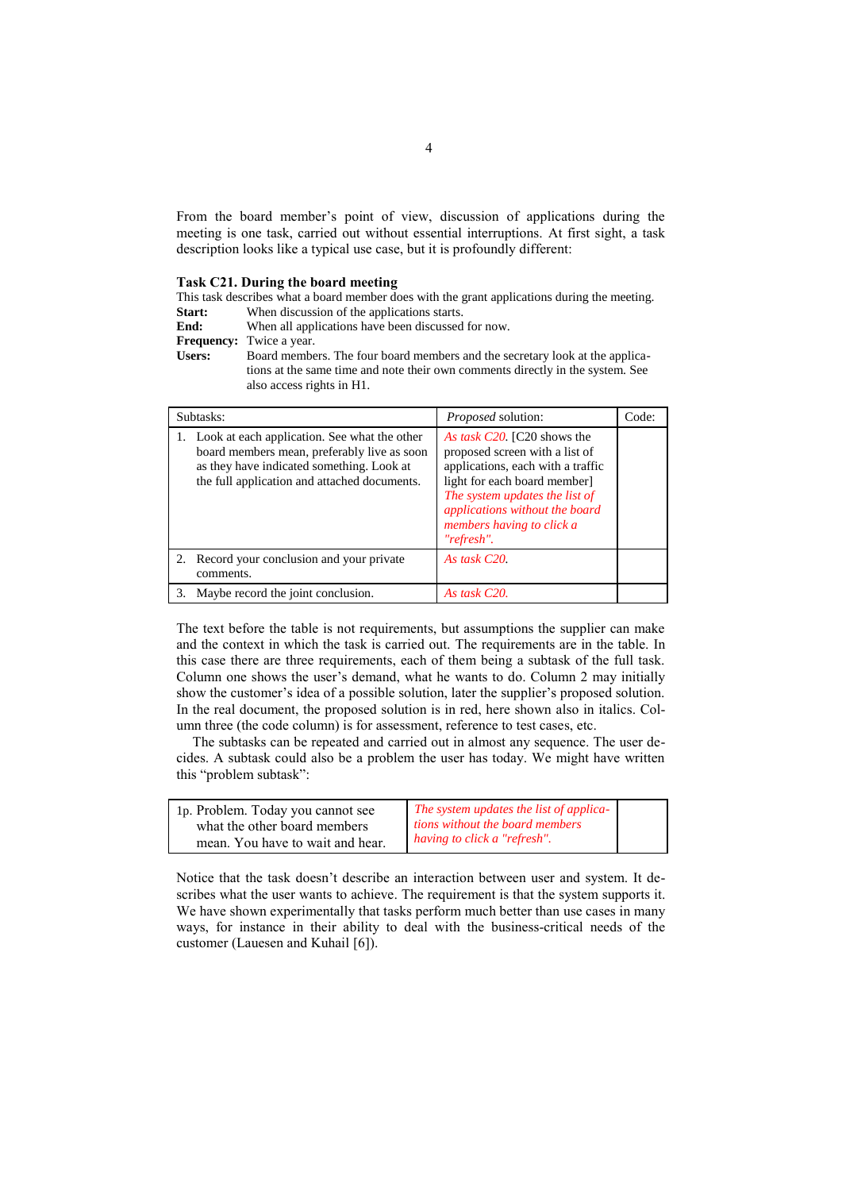From the board member's point of view, discussion of applications during the meeting is one task, carried out without essential interruptions. At first sight, a task description looks like a typical use case, but it is profoundly different:

#### **Task C21. During the board meeting**

This task describes what a board member does with the grant applications during the meeting.

**Start:** When discussion of the applications starts.<br> **End:** When all applications have been discussed

**End:** When all applications have been discussed for now.<br>**Frequency:** Twice a year.

Twice a year.

**Users:** Board members. The four board members and the secretary look at the applications at the same time and note their own comments directly in the system. See also access rights in H1.

| Subtasks:                                                                                                                                                                                   | <i>Proposed</i> solution:                                                                                                                                                                                                                         | Code: |
|---------------------------------------------------------------------------------------------------------------------------------------------------------------------------------------------|---------------------------------------------------------------------------------------------------------------------------------------------------------------------------------------------------------------------------------------------------|-------|
| 1. Look at each application. See what the other<br>board members mean, preferably live as soon<br>as they have indicated something. Look at<br>the full application and attached documents. | As task C20. [C20 shows the<br>proposed screen with a list of<br>applications, each with a traffic<br>light for each board member]<br>The system updates the list of<br>applications without the board<br>members having to click a<br>"refresh". |       |
| 2. Record your conclusion and your private<br>comments.                                                                                                                                     | As task C20.                                                                                                                                                                                                                                      |       |
| Maybe record the joint conclusion.                                                                                                                                                          | As task C20.                                                                                                                                                                                                                                      |       |

The text before the table is not requirements, but assumptions the supplier can make and the context in which the task is carried out. The requirements are in the table. In this case there are three requirements, each of them being a subtask of the full task. Column one shows the user's demand, what he wants to do. Column 2 may initially show the customer's idea of a possible solution, later the supplier's proposed solution. In the real document, the proposed solution is in red, here shown also in italics. Column three (the code column) is for assessment, reference to test cases, etc.

The subtasks can be repeated and carried out in almost any sequence. The user decides. A subtask could also be a problem the user has today. We might have written this "problem subtask":

| 1p. Problem. Today you cannot see | The system updates the list of applica- |  |
|-----------------------------------|-----------------------------------------|--|
| what the other board members      | tions without the board members         |  |
| mean. You have to wait and hear.  | having to click a "refresh".            |  |

Notice that the task doesn't describe an interaction between user and system. It describes what the user wants to achieve. The requirement is that the system supports it. We have shown experimentally that tasks perform much better than use cases in many ways, for instance in their ability to deal with the business-critical needs of the customer (Lauesen and Kuhail [6]).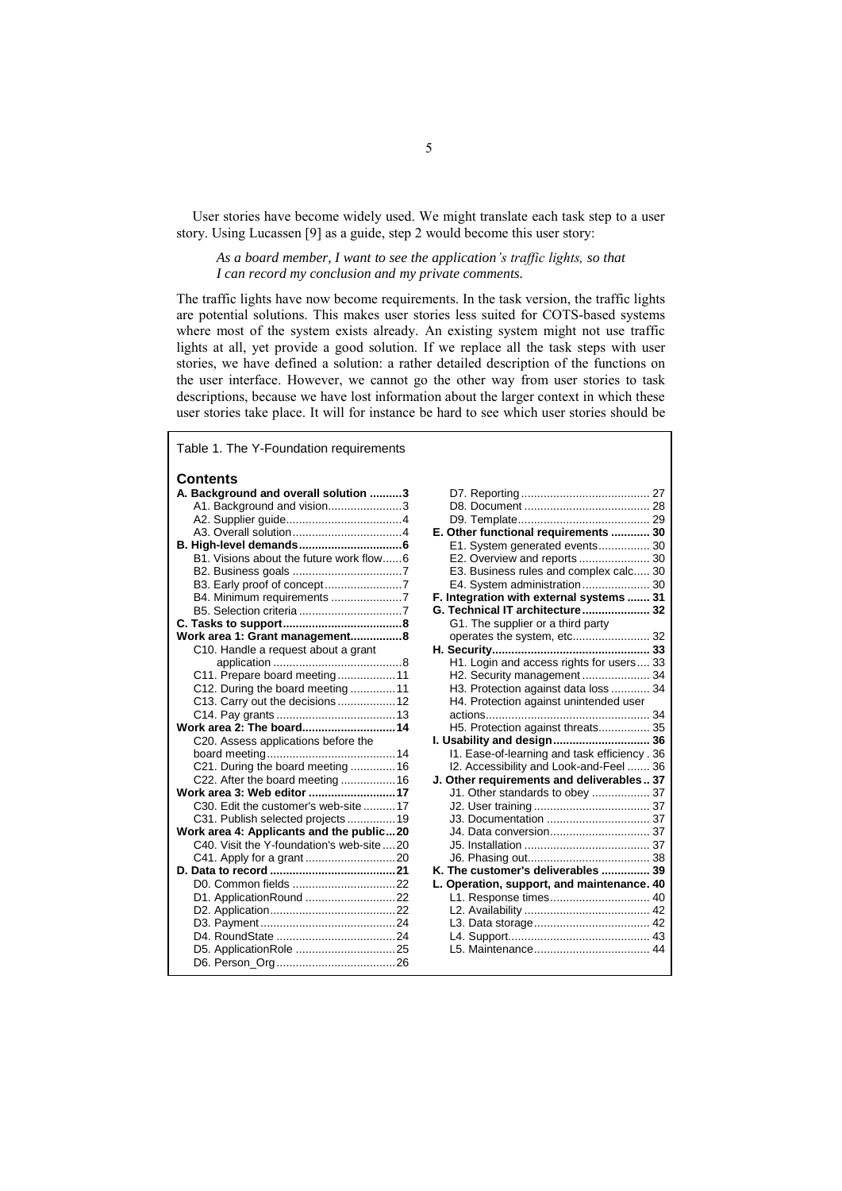User stories have become widely used. We might translate each task step to a user story. Using Lucassen [9] as a guide, step 2 would become this user story:

*As a board member, I want to see the application's traffic lights, so that I can record my conclusion and my private comments.*

The traffic lights have now become requirements. In the task version, the traffic lights are potential solutions. This makes user stories less suited for COTS-based systems where most of the system exists already. An existing system might not use traffic lights at all, yet provide a good solution. If we replace all the task steps with user stories, we have defined a solution: a rather detailed description of the functions on the user interface. However, we cannot go the other way from user stories to task descriptions, because we have lost information about the larger context in which these user stories take place. It will for instance be hard to see which user stories should be

### Table 1. The Y-Foundation requirements

#### **Contents**

| A. Background and overall solution 3                                                                                                                                                                                                 |
|--------------------------------------------------------------------------------------------------------------------------------------------------------------------------------------------------------------------------------------|
| A1. Background and vision3                                                                                                                                                                                                           |
|                                                                                                                                                                                                                                      |
|                                                                                                                                                                                                                                      |
|                                                                                                                                                                                                                                      |
| B1. Visions about the future work flow6                                                                                                                                                                                              |
|                                                                                                                                                                                                                                      |
| B3. Early proof of concept7                                                                                                                                                                                                          |
| B4. Minimum requirements 7                                                                                                                                                                                                           |
|                                                                                                                                                                                                                                      |
|                                                                                                                                                                                                                                      |
| Work area 1: Grant management8                                                                                                                                                                                                       |
| C10. Handle a request about a grant                                                                                                                                                                                                  |
|                                                                                                                                                                                                                                      |
| C11. Prepare board meeting11                                                                                                                                                                                                         |
| C12. During the board meeting 11                                                                                                                                                                                                     |
| C13. Carry out the decisions  12                                                                                                                                                                                                     |
|                                                                                                                                                                                                                                      |
| Work area 2: The board 14                                                                                                                                                                                                            |
| C20. Assess applications before the                                                                                                                                                                                                  |
|                                                                                                                                                                                                                                      |
| C21. During the board meeting  16                                                                                                                                                                                                    |
| C22. After the board meeting  16                                                                                                                                                                                                     |
| Work area 3: Web editor  17                                                                                                                                                                                                          |
| C30. Edit the customer's web-site  17                                                                                                                                                                                                |
| C31. Publish selected projects19                                                                                                                                                                                                     |
| Work area 4: Applicants and the public20                                                                                                                                                                                             |
| C40. Visit the Y-foundation's web-site  20                                                                                                                                                                                           |
|                                                                                                                                                                                                                                      |
|                                                                                                                                                                                                                                      |
| D0. Common fields 22                                                                                                                                                                                                                 |
| D1. ApplicationRound 22                                                                                                                                                                                                              |
|                                                                                                                                                                                                                                      |
|                                                                                                                                                                                                                                      |
|                                                                                                                                                                                                                                      |
| D5. ApplicationRole 25                                                                                                                                                                                                               |
|                                                                                                                                                                                                                                      |
| <u> 1989 - Johann Stoff, deutscher Stoffen und der Stoffen und der Stoffen und der Stoffen und der Stoffen und der Stoffen und der Stoffen und der Stoffen und der Stoffen und der Stoffen und der Stoffen und der Stoffen und d</u> |

| E. Other functional requirements  30         |  |
|----------------------------------------------|--|
| E1. System generated events 30               |  |
| E2. Overview and reports  30                 |  |
| E3. Business rules and complex calc 30       |  |
| E4. System administration  30                |  |
| F. Integration with external systems  31     |  |
| G. Technical IT architecture 32              |  |
| G1. The supplier or a third party            |  |
| operates the system, etc 32                  |  |
|                                              |  |
| H1. Login and access rights for users 33     |  |
| H2. Security management  34                  |  |
| H3. Protection against data loss  34         |  |
| H4. Protection against unintended user       |  |
|                                              |  |
| H5. Protection against threats 35            |  |
| I. Usability and design 36                   |  |
| 11. Ease-of-learning and task efficiency. 36 |  |
| I2. Accessibility and Look-and-Feel  36      |  |
| J. Other requirements and deliverables 37    |  |
| J1. Other standards to obey  37              |  |
|                                              |  |
| J3. Documentation  37                        |  |
| J4. Data conversion 37                       |  |
|                                              |  |
|                                              |  |
| K. The customer's deliverables  39           |  |
| L. Operation, support, and maintenance. 40   |  |
| L1. Response times 40                        |  |
|                                              |  |
|                                              |  |
|                                              |  |
|                                              |  |
|                                              |  |
|                                              |  |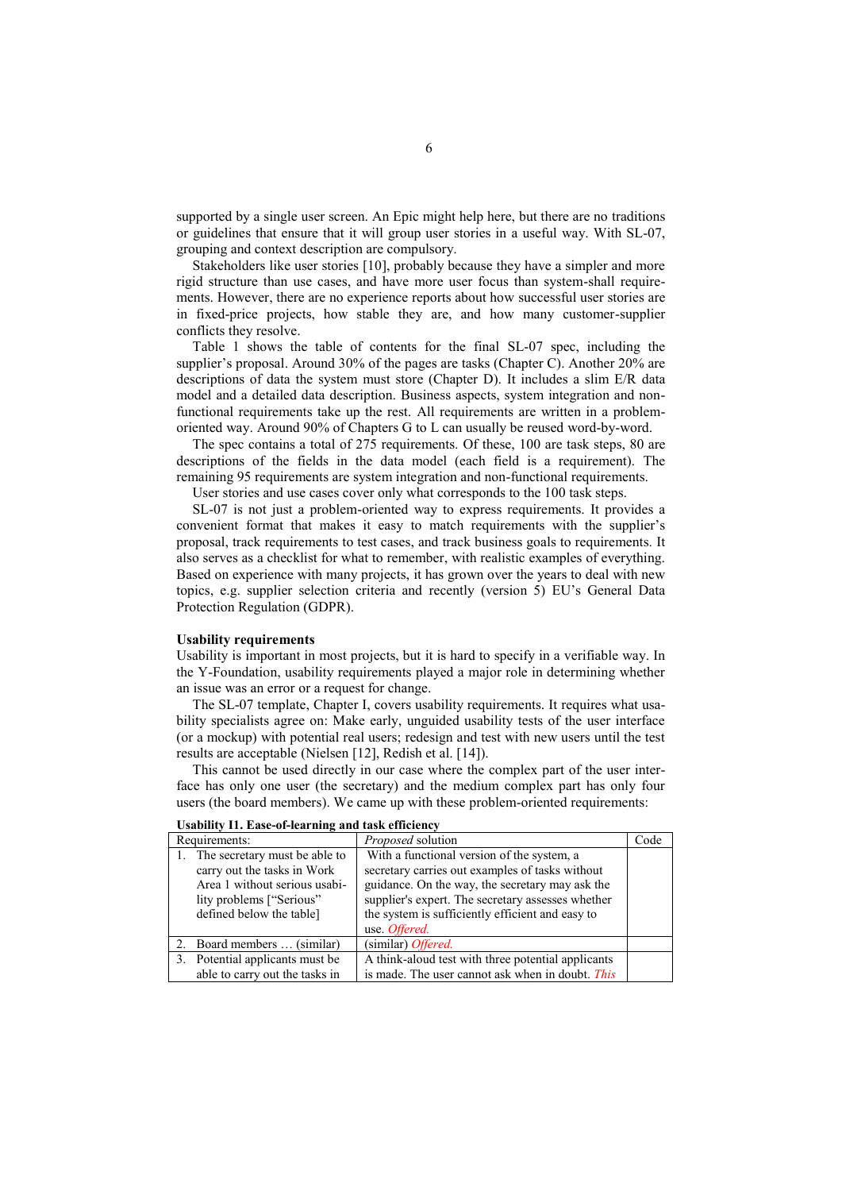supported by a single user screen. An Epic might help here, but there are no traditions or guidelines that ensure that it will group user stories in a useful way. With SL-07, grouping and context description are compulsory.

Stakeholders like user stories [10], probably because they have a simpler and more rigid structure than use cases, and have more user focus than system-shall requirements. However, there are no experience reports about how successful user stories are in fixed-price projects, how stable they are, and how many customer-supplier conflicts they resolve.

Table 1 shows the table of contents for the final SL-07 spec, including the supplier's proposal. Around 30% of the pages are tasks (Chapter C). Another 20% are descriptions of data the system must store (Chapter D). It includes a slim E/R data model and a detailed data description. Business aspects, system integration and nonfunctional requirements take up the rest. All requirements are written in a problemoriented way. Around 90% of Chapters G to L can usually be reused word-by-word.

The spec contains a total of 275 requirements. Of these, 100 are task steps, 80 are descriptions of the fields in the data model (each field is a requirement). The remaining 95 requirements are system integration and non-functional requirements.

User stories and use cases cover only what corresponds to the 100 task steps.

SL-07 is not just a problem-oriented way to express requirements. It provides a convenient format that makes it easy to match requirements with the supplier's proposal, track requirements to test cases, and track business goals to requirements. It also serves as a checklist for what to remember, with realistic examples of everything. Based on experience with many projects, it has grown over the years to deal with new topics, e.g. supplier selection criteria and recently (version 5) EU's General Data Protection Regulation (GDPR).

### **Usability requirements**

Usability is important in most projects, but it is hard to specify in a verifiable way. In the Y-Foundation, usability requirements played a major role in determining whether an issue was an error or a request for change.

The SL-07 template, Chapter I, covers usability requirements. It requires what usability specialists agree on: Make early, unguided usability tests of the user interface (or a mockup) with potential real users; redesign and test with new users until the test results are acceptable (Nielsen [12], Redish et al. [14]).

This cannot be used directly in our case where the complex part of the user interface has only one user (the secretary) and the medium complex part has only four users (the board members). We came up with these problem-oriented requirements:

| Requirements:                                                                                                                                           | <i>Proposed</i> solution                                                                                                                                                                                                                                                   | Code |
|---------------------------------------------------------------------------------------------------------------------------------------------------------|----------------------------------------------------------------------------------------------------------------------------------------------------------------------------------------------------------------------------------------------------------------------------|------|
| 1. The secretary must be able to<br>carry out the tasks in Work<br>Area 1 without serious usabi-<br>lity problems ["Serious"<br>defined below the table | With a functional version of the system, a<br>secretary carries out examples of tasks without<br>guidance. On the way, the secretary may ask the<br>supplier's expert. The secretary assesses whether<br>the system is sufficiently efficient and easy to<br>use. Offered. |      |
| 2. Board members  (similar)                                                                                                                             | (similar) Offered.                                                                                                                                                                                                                                                         |      |
| 3. Potential applicants must be<br>able to carry out the tasks in                                                                                       | A think-aloud test with three potential applicants<br>is made. The user cannot ask when in doubt. This                                                                                                                                                                     |      |

# **Usability I1. Ease-of-learning and task efficiency**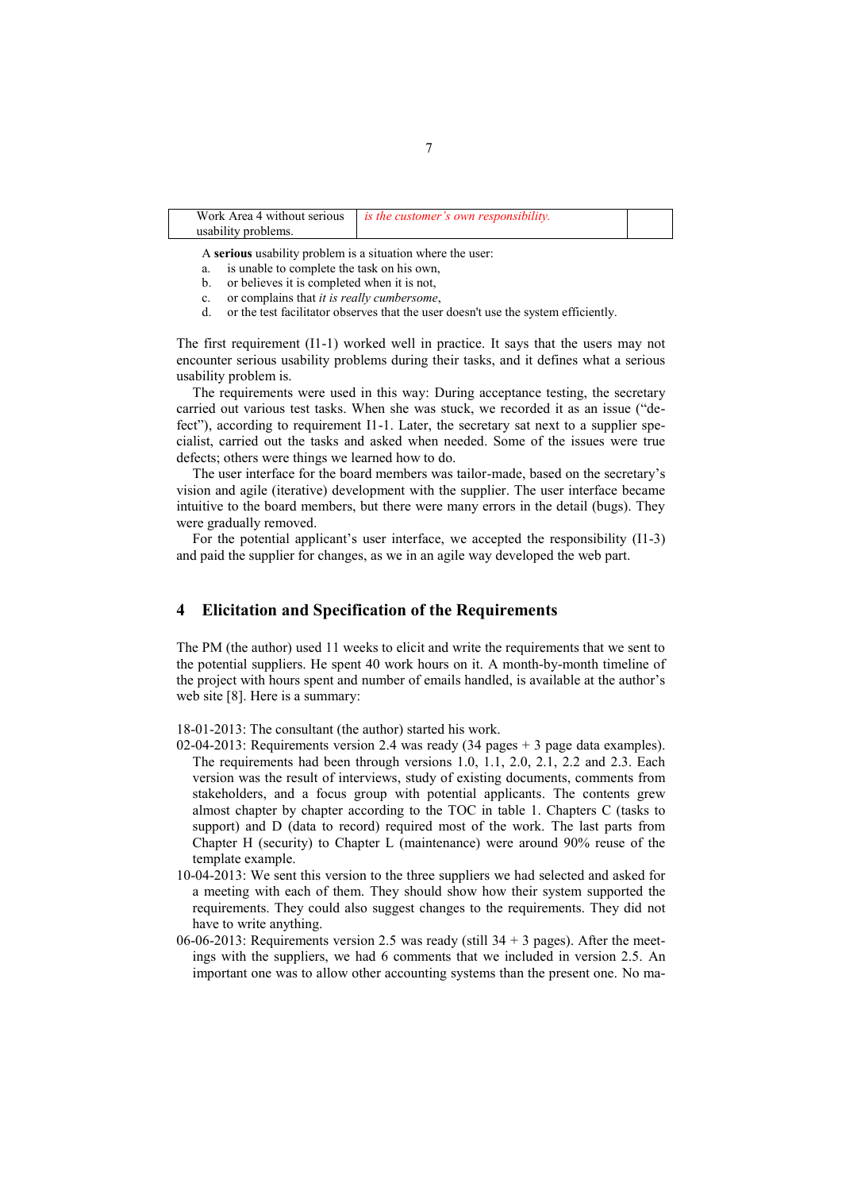|                     | Work Area 4 without serious is the customer's own responsibility. |  |
|---------------------|-------------------------------------------------------------------|--|
| usability problems. |                                                                   |  |

A **serious** usability problem is a situation where the user:

- a. is unable to complete the task on his own,
- b. or believes it is completed when it is not,
- c. or complains that *it is really cumbersome*,
- d. or the test facilitator observes that the user doesn't use the system efficiently.

The first requirement (I1-1) worked well in practice. It says that the users may not encounter serious usability problems during their tasks, and it defines what a serious usability problem is.

The requirements were used in this way: During acceptance testing, the secretary carried out various test tasks. When she was stuck, we recorded it as an issue ("defect"), according to requirement I1-1. Later, the secretary sat next to a supplier specialist, carried out the tasks and asked when needed. Some of the issues were true defects; others were things we learned how to do.

The user interface for the board members was tailor-made, based on the secretary's vision and agile (iterative) development with the supplier. The user interface became intuitive to the board members, but there were many errors in the detail (bugs). They were gradually removed.

For the potential applicant's user interface, we accepted the responsibility (I1-3) and paid the supplier for changes, as we in an agile way developed the web part.

# **4 Elicitation and Specification of the Requirements**

The PM (the author) used 11 weeks to elicit and write the requirements that we sent to the potential suppliers. He spent 40 work hours on it. A month-by-month timeline of the project with hours spent and number of emails handled, is available at the author's web site [8]. Here is a summary:

18-01-2013: The consultant (the author) started his work.

- 02-04-2013: Requirements version 2.4 was ready (34 pages + 3 page data examples). The requirements had been through versions 1.0, 1.1, 2.0, 2.1, 2.2 and 2.3. Each version was the result of interviews, study of existing documents, comments from stakeholders, and a focus group with potential applicants. The contents grew almost chapter by chapter according to the TOC in table 1. Chapters C (tasks to support) and D (data to record) required most of the work. The last parts from Chapter H (security) to Chapter L (maintenance) were around 90% reuse of the template example.
- 10-04-2013: We sent this version to the three suppliers we had selected and asked for a meeting with each of them. They should show how their system supported the requirements. They could also suggest changes to the requirements. They did not have to write anything.
- 06-06-2013: Requirements version 2.5 was ready (still  $34 + 3$  pages). After the meetings with the suppliers, we had 6 comments that we included in version 2.5. An important one was to allow other accounting systems than the present one. No ma-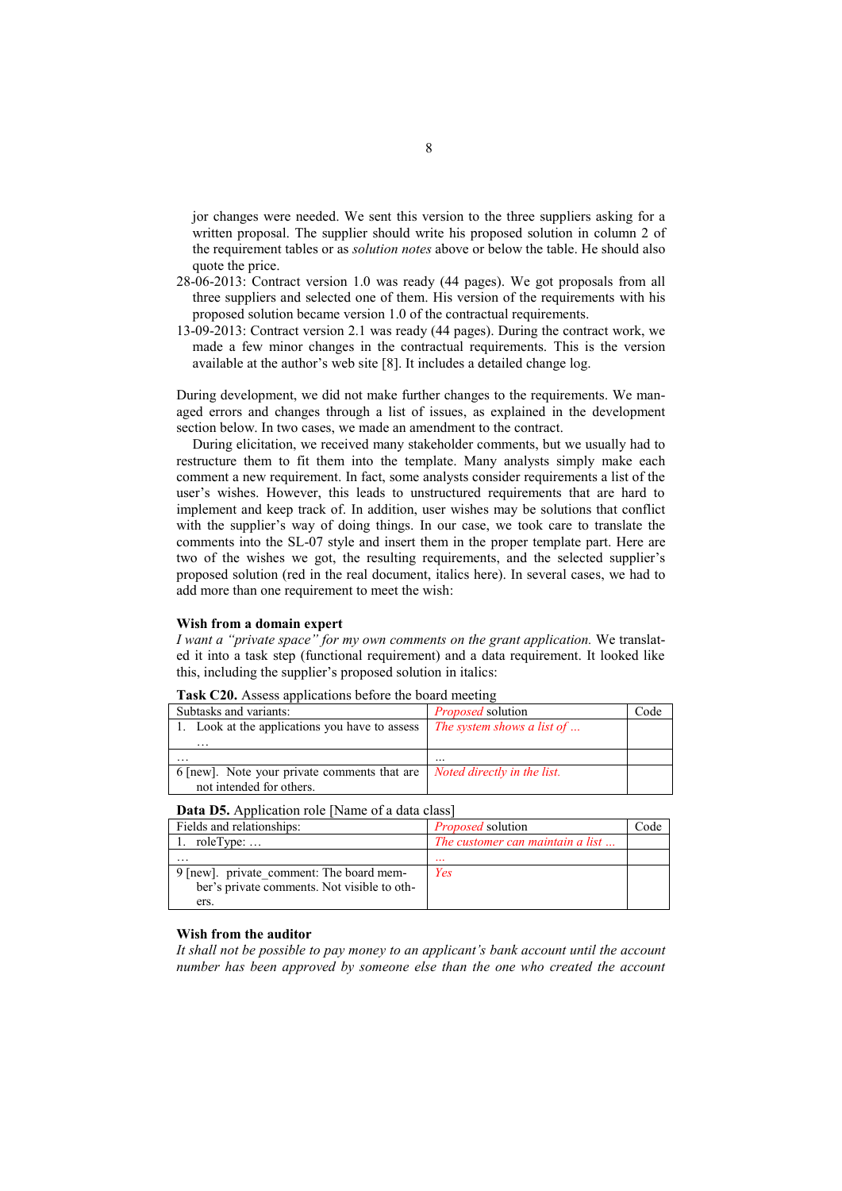jor changes were needed. We sent this version to the three suppliers asking for a written proposal. The supplier should write his proposed solution in column 2 of the requirement tables or as *solution notes* above or below the table. He should also quote the price.

- 28-06-2013: Contract version 1.0 was ready (44 pages). We got proposals from all three suppliers and selected one of them. His version of the requirements with his proposed solution became version 1.0 of the contractual requirements.
- 13-09-2013: Contract version 2.1 was ready (44 pages). During the contract work, we made a few minor changes in the contractual requirements. This is the version available at the author's web site [8]. It includes a detailed change log.

During development, we did not make further changes to the requirements. We managed errors and changes through a list of issues, as explained in the development section below. In two cases, we made an amendment to the contract.

During elicitation, we received many stakeholder comments, but we usually had to restructure them to fit them into the template. Many analysts simply make each comment a new requirement. In fact, some analysts consider requirements a list of the user's wishes. However, this leads to unstructured requirements that are hard to implement and keep track of. In addition, user wishes may be solutions that conflict with the supplier's way of doing things. In our case, we took care to translate the comments into the SL-07 style and insert them in the proper template part. Here are two of the wishes we got, the resulting requirements, and the selected supplier's proposed solution (red in the real document, italics here). In several cases, we had to add more than one requirement to meet the wish:

#### **Wish from a domain expert**

*I want a "private space" for my own comments on the grant application.* We translated it into a task step (functional requirement) and a data requirement. It looked like this, including the supplier's proposed solution in italics:

|  |  | Task C20. Assess applications before the board meeting |
|--|--|--------------------------------------------------------|
|  |  |                                                        |

| Subtasks and variants:                         | <i>Proposed</i> solution    | Code |
|------------------------------------------------|-----------------------------|------|
| 1. Look at the applications you have to assess | The system shows a list of  |      |
| $\cdots$                                       |                             |      |
| $\ddot{\phantom{0}}$                           | $\ddotsc$                   |      |
| 6 [new]. Note your private comments that are   | Noted directly in the list. |      |
| not intended for others.                       |                             |      |

#### **Data D5.** Application role [Name of a data class]

| Fields and relationships:                   | <i>Proposed</i> solution         | Code |
|---------------------------------------------|----------------------------------|------|
| roleType: $\dots$                           | The customer can maintain a list |      |
|                                             | $\cdots$                         |      |
| 9 [new]. private comment: The board mem-    | Yes                              |      |
| ber's private comments. Not visible to oth- |                                  |      |
| ers.                                        |                                  |      |

#### **Wish from the auditor**

*It shall not be possible to pay money to an applicant's bank account until the account number has been approved by someone else than the one who created the account*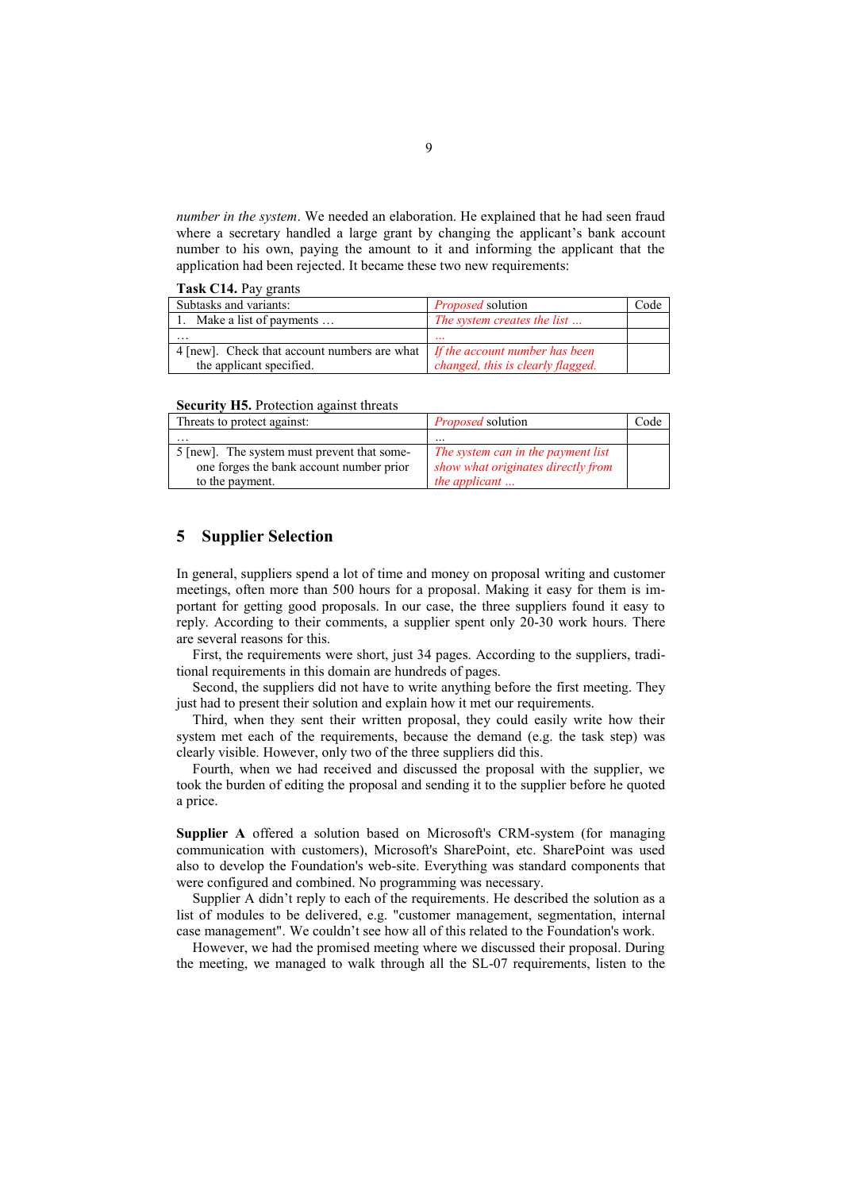*number in the system*. We needed an elaboration. He explained that he had seen fraud where a secretary handled a large grant by changing the applicant's bank account number to his own, paying the amount to it and informing the applicant that the application had been rejected. It became these two new requirements:

**Task C14.** Pay grants

| Subtasks and variants:                                                             | <i>Proposed</i> solution          | Code |
|------------------------------------------------------------------------------------|-----------------------------------|------|
| Make a list of payments                                                            | The system creates the list       |      |
| $\ddot{\phantom{0}}$                                                               | $\sim$ $\sim$ $\sim$              |      |
| 4 [new]. Check that account numbers are what $\int$ If the account number has been |                                   |      |
| the applicant specified.                                                           | changed, this is clearly flagged. |      |

**Security H5.** Protection against threats

| Threats to protect against:                 | <i>Proposed</i> solution           | Code |
|---------------------------------------------|------------------------------------|------|
| .                                           | $\ddotsc$                          |      |
| 5 [new]. The system must prevent that some- | The system can in the payment list |      |
| one forges the bank account number prior    | show what originates directly from |      |
| to the payment.                             | the applicant                      |      |

# **5 Supplier Selection**

In general, suppliers spend a lot of time and money on proposal writing and customer meetings, often more than 500 hours for a proposal. Making it easy for them is important for getting good proposals. In our case, the three suppliers found it easy to reply. According to their comments, a supplier spent only 20-30 work hours. There are several reasons for this.

First, the requirements were short, just 34 pages. According to the suppliers, traditional requirements in this domain are hundreds of pages.

Second, the suppliers did not have to write anything before the first meeting. They just had to present their solution and explain how it met our requirements.

Third, when they sent their written proposal, they could easily write how their system met each of the requirements, because the demand (e.g. the task step) was clearly visible. However, only two of the three suppliers did this.

Fourth, when we had received and discussed the proposal with the supplier, we took the burden of editing the proposal and sending it to the supplier before he quoted a price.

**Supplier A** offered a solution based on Microsoft's CRM-system (for managing communication with customers), Microsoft's SharePoint, etc. SharePoint was used also to develop the Foundation's web-site. Everything was standard components that were configured and combined. No programming was necessary.

Supplier A didn't reply to each of the requirements. He described the solution as a list of modules to be delivered, e.g. "customer management, segmentation, internal case management". We couldn't see how all of this related to the Foundation's work.

However, we had the promised meeting where we discussed their proposal. During the meeting, we managed to walk through all the SL-07 requirements, listen to the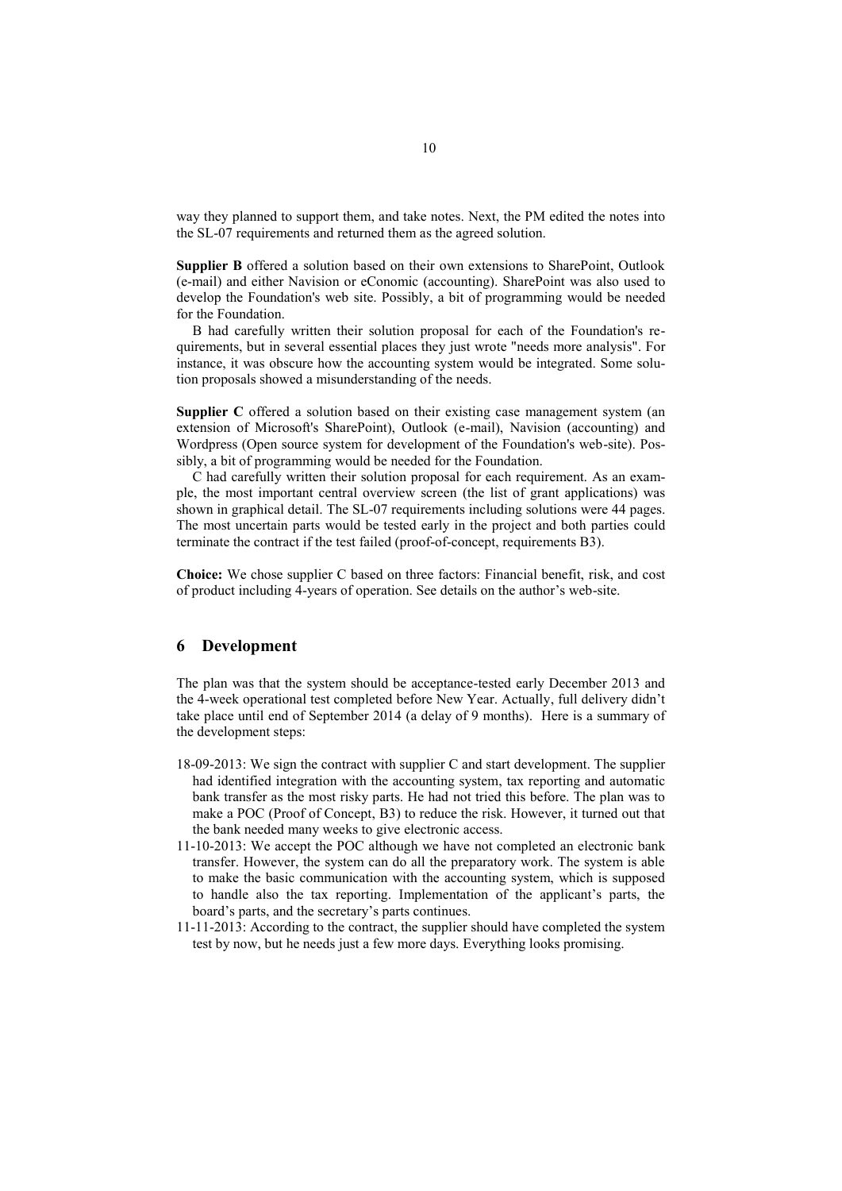way they planned to support them, and take notes. Next, the PM edited the notes into the SL-07 requirements and returned them as the agreed solution.

**Supplier B** offered a solution based on their own extensions to SharePoint, Outlook (e-mail) and either Navision or eConomic (accounting). SharePoint was also used to develop the Foundation's web site. Possibly, a bit of programming would be needed for the Foundation.

B had carefully written their solution proposal for each of the Foundation's requirements, but in several essential places they just wrote "needs more analysis". For instance, it was obscure how the accounting system would be integrated. Some solution proposals showed a misunderstanding of the needs.

**Supplier C** offered a solution based on their existing case management system (an extension of Microsoft's SharePoint), Outlook (e-mail), Navision (accounting) and Wordpress (Open source system for development of the Foundation's web-site). Possibly, a bit of programming would be needed for the Foundation.

C had carefully written their solution proposal for each requirement. As an example, the most important central overview screen (the list of grant applications) was shown in graphical detail. The SL-07 requirements including solutions were 44 pages. The most uncertain parts would be tested early in the project and both parties could terminate the contract if the test failed (proof-of-concept, requirements B3).

**Choice:** We chose supplier C based on three factors: Financial benefit, risk, and cost of product including 4-years of operation. See details on the author's web-site.

# **6 Development**

The plan was that the system should be acceptance-tested early December 2013 and the 4-week operational test completed before New Year. Actually, full delivery didn't take place until end of September 2014 (a delay of 9 months). Here is a summary of the development steps:

- 18-09-2013: We sign the contract with supplier C and start development. The supplier had identified integration with the accounting system, tax reporting and automatic bank transfer as the most risky parts. He had not tried this before. The plan was to make a POC (Proof of Concept, B3) to reduce the risk. However, it turned out that the bank needed many weeks to give electronic access.
- 11-10-2013: We accept the POC although we have not completed an electronic bank transfer. However, the system can do all the preparatory work. The system is able to make the basic communication with the accounting system, which is supposed to handle also the tax reporting. Implementation of the applicant's parts, the board's parts, and the secretary's parts continues.
- 11-11-2013: According to the contract, the supplier should have completed the system test by now, but he needs just a few more days. Everything looks promising.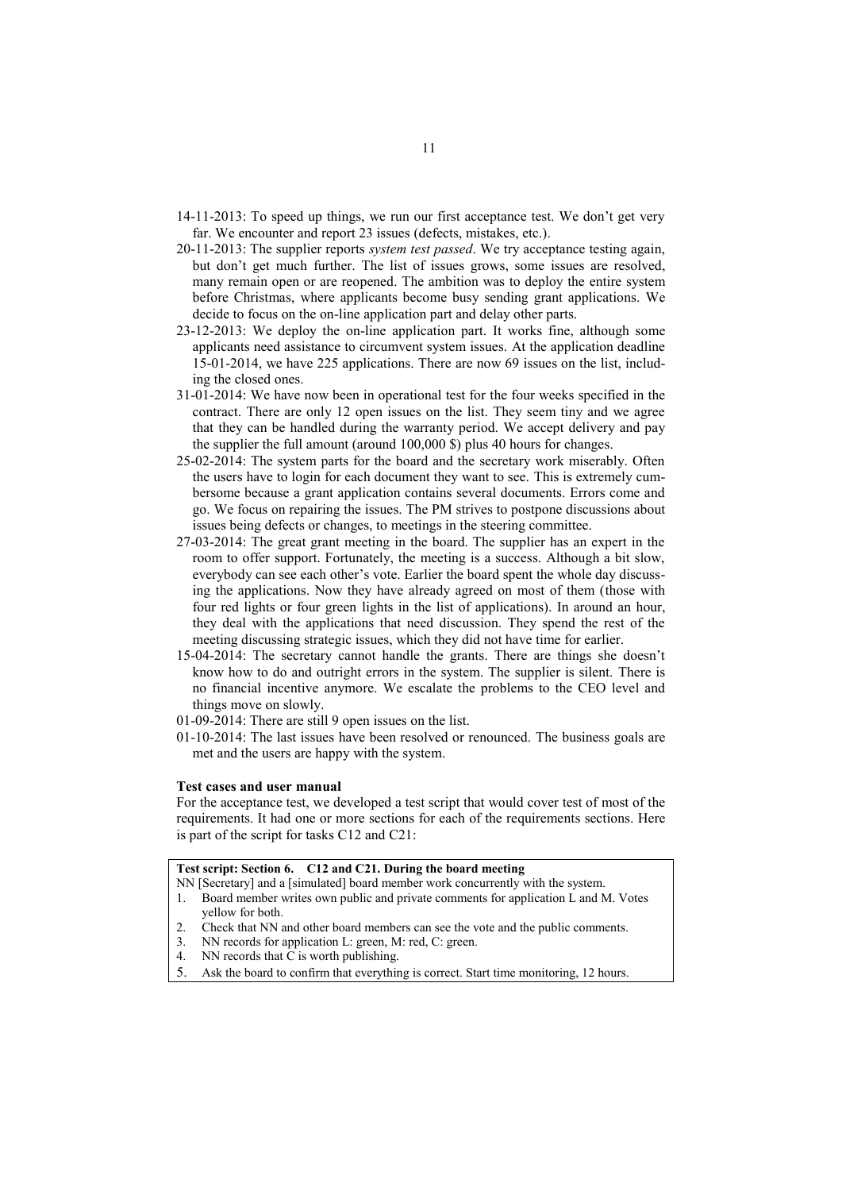- 14-11-2013: To speed up things, we run our first acceptance test. We don't get very far. We encounter and report 23 issues (defects, mistakes, etc.).
- 20-11-2013: The supplier reports *system test passed*. We try acceptance testing again, but don't get much further. The list of issues grows, some issues are resolved, many remain open or are reopened. The ambition was to deploy the entire system before Christmas, where applicants become busy sending grant applications. We decide to focus on the on-line application part and delay other parts.
- 23-12-2013: We deploy the on-line application part. It works fine, although some applicants need assistance to circumvent system issues. At the application deadline 15-01-2014, we have 225 applications. There are now 69 issues on the list, including the closed ones.
- 31-01-2014: We have now been in operational test for the four weeks specified in the contract. There are only 12 open issues on the list. They seem tiny and we agree that they can be handled during the warranty period. We accept delivery and pay the supplier the full amount (around 100,000 \$) plus 40 hours for changes.
- 25-02-2014: The system parts for the board and the secretary work miserably. Often the users have to login for each document they want to see. This is extremely cumbersome because a grant application contains several documents. Errors come and go. We focus on repairing the issues. The PM strives to postpone discussions about issues being defects or changes, to meetings in the steering committee.
- 27-03-2014: The great grant meeting in the board. The supplier has an expert in the room to offer support. Fortunately, the meeting is a success. Although a bit slow, everybody can see each other's vote. Earlier the board spent the whole day discussing the applications. Now they have already agreed on most of them (those with four red lights or four green lights in the list of applications). In around an hour, they deal with the applications that need discussion. They spend the rest of the meeting discussing strategic issues, which they did not have time for earlier.
- 15-04-2014: The secretary cannot handle the grants. There are things she doesn't know how to do and outright errors in the system. The supplier is silent. There is no financial incentive anymore. We escalate the problems to the CEO level and things move on slowly.
- 01-09-2014: There are still 9 open issues on the list.
- 01-10-2014: The last issues have been resolved or renounced. The business goals are met and the users are happy with the system.

### **Test cases and user manual**

For the acceptance test, we developed a test script that would cover test of most of the requirements. It had one or more sections for each of the requirements sections. Here is part of the script for tasks C12 and C21:

### **Test script: Section 6. C12 and C21. During the board meeting**

- NN [Secretary] and a [simulated] board member work concurrently with the system.
- 1. Board member writes own public and private comments for application L and M. Votes yellow for both.
- 2. Check that NN and other board members can see the vote and the public comments.
- 3. NN records for application L: green, M: red, C: green.
- 4. NN records that C is worth publishing.
- 5. Ask the board to confirm that everything is correct. Start time monitoring, 12 hours.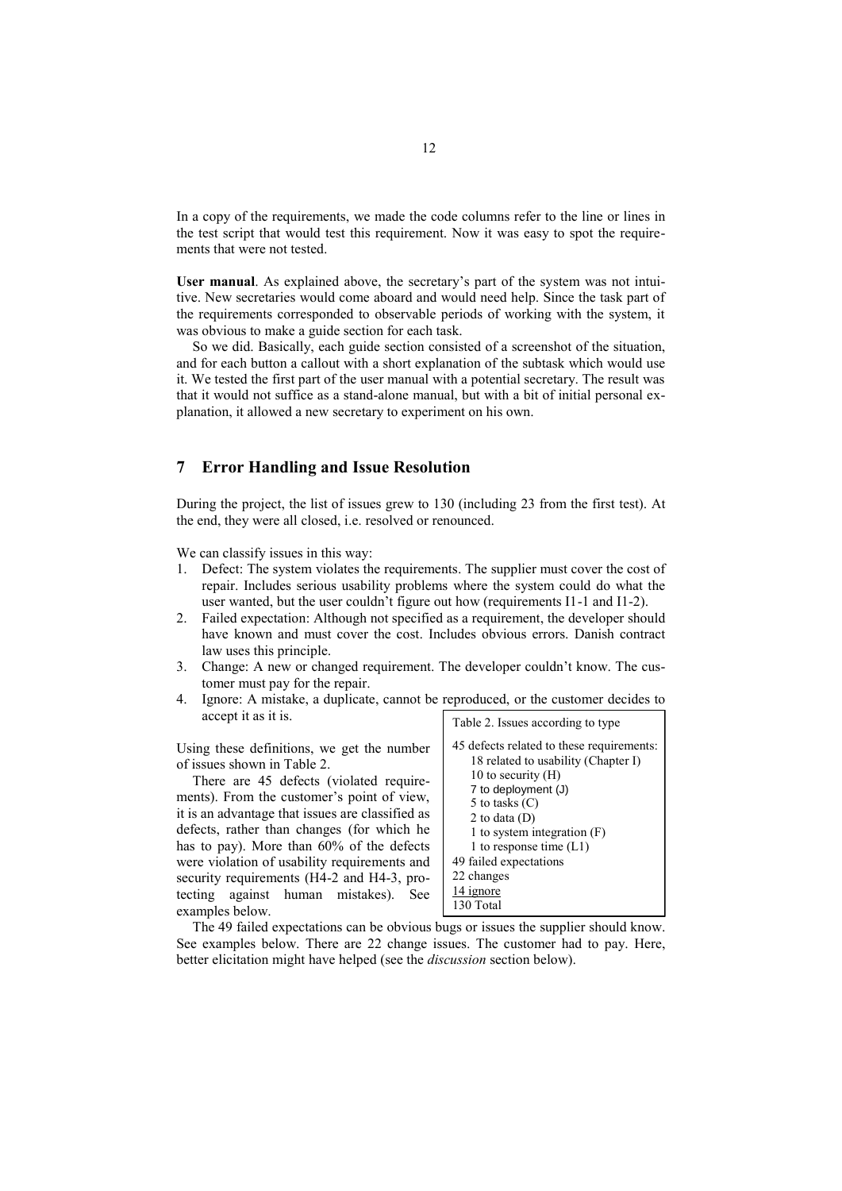In a copy of the requirements, we made the code columns refer to the line or lines in the test script that would test this requirement. Now it was easy to spot the requirements that were not tested.

**User manual**. As explained above, the secretary's part of the system was not intuitive. New secretaries would come aboard and would need help. Since the task part of the requirements corresponded to observable periods of working with the system, it was obvious to make a guide section for each task.

So we did. Basically, each guide section consisted of a screenshot of the situation, and for each button a callout with a short explanation of the subtask which would use it. We tested the first part of the user manual with a potential secretary. The result was that it would not suffice as a stand-alone manual, but with a bit of initial personal explanation, it allowed a new secretary to experiment on his own.

### **7 Error Handling and Issue Resolution**

During the project, the list of issues grew to 130 (including 23 from the first test). At the end, they were all closed, i.e. resolved or renounced.

We can classify issues in this way:

- 1. Defect: The system violates the requirements. The supplier must cover the cost of repair. Includes serious usability problems where the system could do what the user wanted, but the user couldn't figure out how (requirements I1-1 and I1-2).
- 2. Failed expectation: Although not specified as a requirement, the developer should have known and must cover the cost. Includes obvious errors. Danish contract law uses this principle.
- 3. Change: A new or changed requirement. The developer couldn't know. The customer must pay for the repair.
- 4. Ignore: A mistake, a duplicate, cannot be reproduced, or the customer decides to accept it as it is.

Using these definitions, we get the number of issues shown in Table 2.

There are 45 defects (violated requirements). From the customer's point of view, it is an advantage that issues are classified as defects, rather than changes (for which he has to pay). More than 60% of the defects were violation of usability requirements and security requirements (H4-2 and H4-3, protecting against human mistakes). See examples below.

Table 2. Issues according to type 45 defects related to these requirements: 18 related to usability (Chapter I) 10 to security (H) 7 to deployment (J) 5 to tasks (C) 2 to data (D) 1 to system integration (F) 1 to response time (L1) 49 failed expectations 22 changes 14 ignore 130 Total

The 49 failed expectations can be obvious bugs or issues the supplier should know. See examples below. There are 22 change issues. The customer had to pay. Here, better elicitation might have helped (see the *discussion* section below).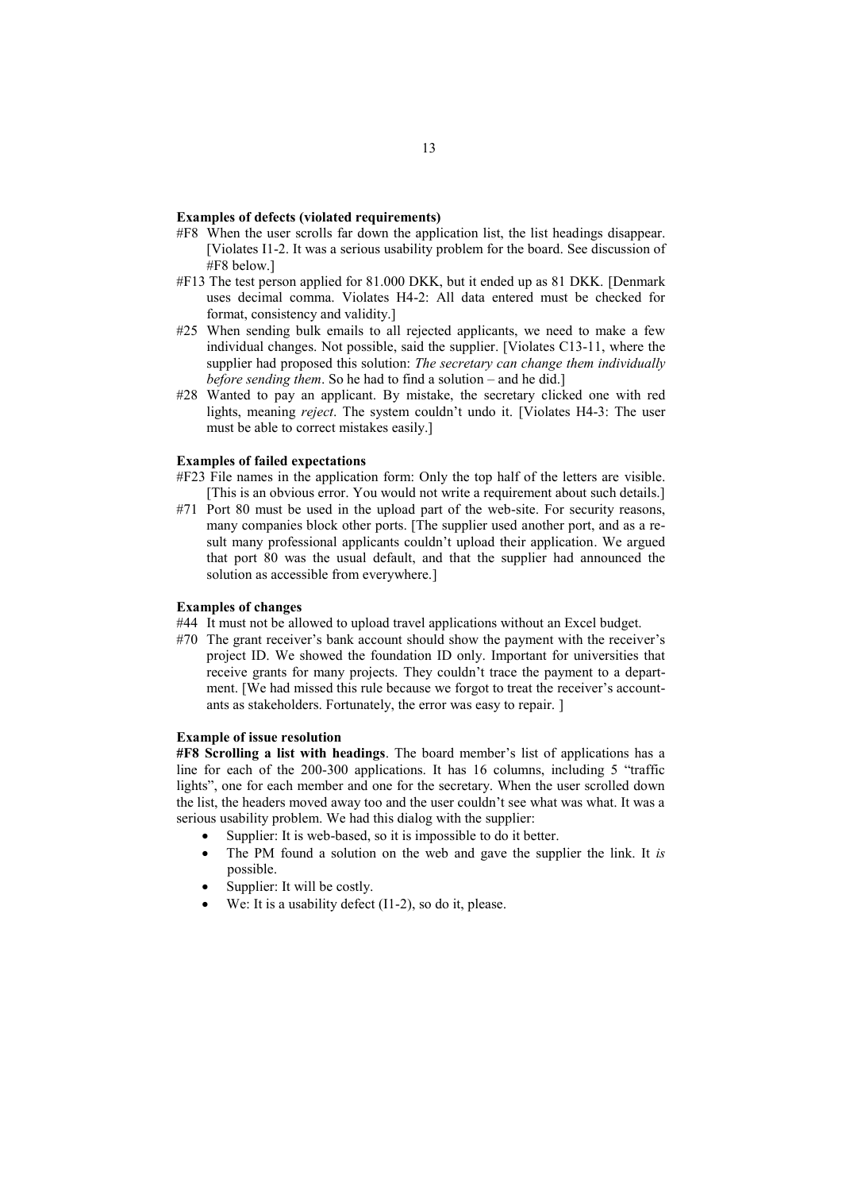### **Examples of defects (violated requirements)**

- #F8 When the user scrolls far down the application list, the list headings disappear. [Violates I1-2. It was a serious usability problem for the board. See discussion of #F8 below.]
- #F13 The test person applied for 81.000 DKK, but it ended up as 81 DKK. [Denmark uses decimal comma. Violates H4-2: All data entered must be checked for format, consistency and validity.]
- #25 When sending bulk emails to all rejected applicants, we need to make a few individual changes. Not possible, said the supplier. [Violates C13-11, where the supplier had proposed this solution: *The secretary can change them individually before sending them*. So he had to find a solution – and he did.]
- #28 Wanted to pay an applicant. By mistake, the secretary clicked one with red lights, meaning *reject*. The system couldn't undo it. [Violates H4-3: The user must be able to correct mistakes easily.]

### **Examples of failed expectations**

- #F23 File names in the application form: Only the top half of the letters are visible. [This is an obvious error. You would not write a requirement about such details.]
- #71 Port 80 must be used in the upload part of the web-site. For security reasons, many companies block other ports. [The supplier used another port, and as a result many professional applicants couldn't upload their application. We argued that port 80 was the usual default, and that the supplier had announced the solution as accessible from everywhere.]

#### **Examples of changes**

- #44 It must not be allowed to upload travel applications without an Excel budget.
- #70 The grant receiver's bank account should show the payment with the receiver's project ID. We showed the foundation ID only. Important for universities that receive grants for many projects. They couldn't trace the payment to a department. [We had missed this rule because we forgot to treat the receiver's accountants as stakeholders. Fortunately, the error was easy to repair. ]

### **Example of issue resolution**

**#F8 Scrolling a list with headings**. The board member's list of applications has a line for each of the 200-300 applications. It has 16 columns, including 5 "traffic lights", one for each member and one for the secretary. When the user scrolled down the list, the headers moved away too and the user couldn't see what was what. It was a serious usability problem. We had this dialog with the supplier:

- Supplier: It is web-based, so it is impossible to do it better.
- The PM found a solution on the web and gave the supplier the link. It *is* possible.
- Supplier: It will be costly.
- We: It is a usability defect (I1-2), so do it, please.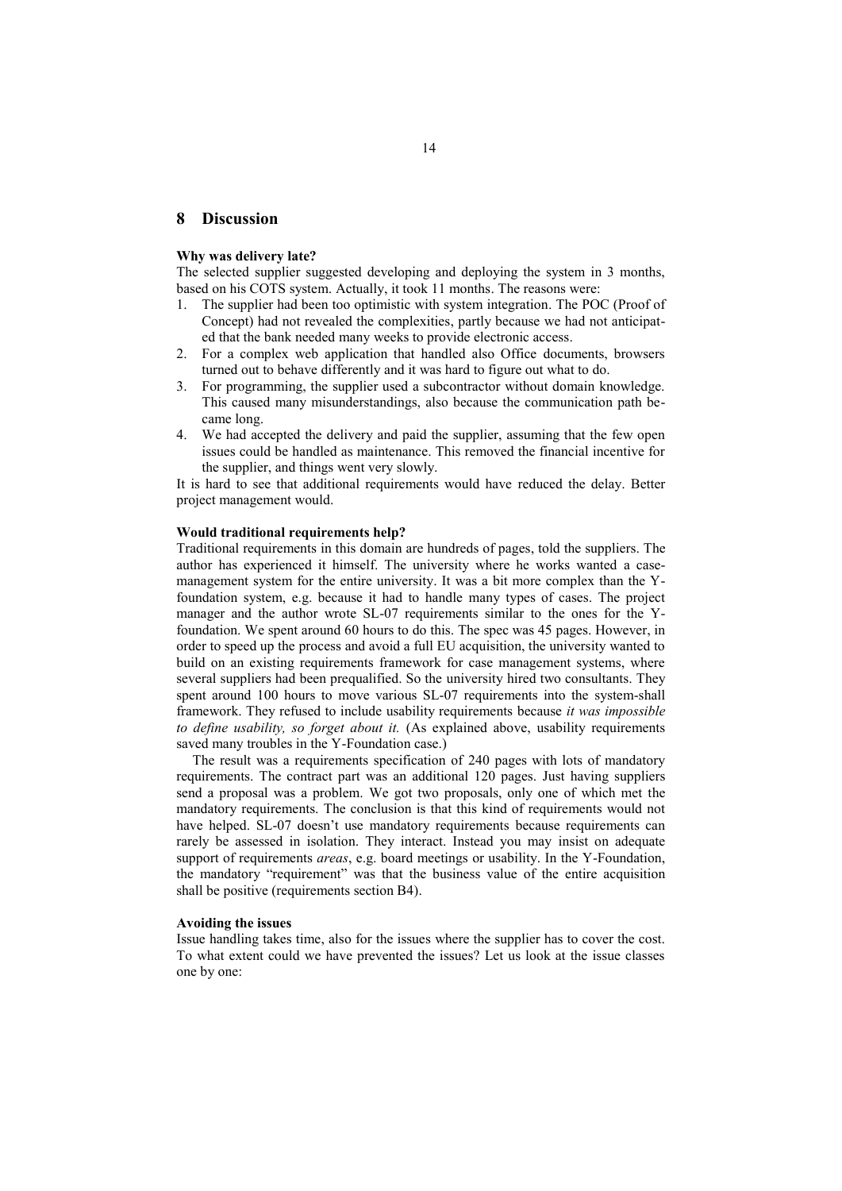### **8 Discussion**

### **Why was delivery late?**

The selected supplier suggested developing and deploying the system in 3 months, based on his COTS system. Actually, it took 11 months. The reasons were:

- 1. The supplier had been too optimistic with system integration. The POC (Proof of Concept) had not revealed the complexities, partly because we had not anticipated that the bank needed many weeks to provide electronic access.
- 2. For a complex web application that handled also Office documents, browsers turned out to behave differently and it was hard to figure out what to do.
- 3. For programming, the supplier used a subcontractor without domain knowledge. This caused many misunderstandings, also because the communication path became long.
- 4. We had accepted the delivery and paid the supplier, assuming that the few open issues could be handled as maintenance. This removed the financial incentive for the supplier, and things went very slowly.

It is hard to see that additional requirements would have reduced the delay. Better project management would.

### **Would traditional requirements help?**

Traditional requirements in this domain are hundreds of pages, told the suppliers. The author has experienced it himself. The university where he works wanted a casemanagement system for the entire university. It was a bit more complex than the Yfoundation system, e.g. because it had to handle many types of cases. The project manager and the author wrote SL-07 requirements similar to the ones for the Yfoundation. We spent around 60 hours to do this. The spec was 45 pages. However, in order to speed up the process and avoid a full EU acquisition, the university wanted to build on an existing requirements framework for case management systems, where several suppliers had been prequalified. So the university hired two consultants. They spent around 100 hours to move various SL-07 requirements into the system-shall framework. They refused to include usability requirements because *it was impossible to define usability, so forget about it.* (As explained above, usability requirements saved many troubles in the Y-Foundation case.)

The result was a requirements specification of 240 pages with lots of mandatory requirements. The contract part was an additional 120 pages. Just having suppliers send a proposal was a problem. We got two proposals, only one of which met the mandatory requirements. The conclusion is that this kind of requirements would not have helped. SL-07 doesn't use mandatory requirements because requirements can rarely be assessed in isolation. They interact. Instead you may insist on adequate support of requirements *areas*, e.g. board meetings or usability. In the Y-Foundation, the mandatory "requirement" was that the business value of the entire acquisition shall be positive (requirements section B4).

#### **Avoiding the issues**

Issue handling takes time, also for the issues where the supplier has to cover the cost. To what extent could we have prevented the issues? Let us look at the issue classes one by one: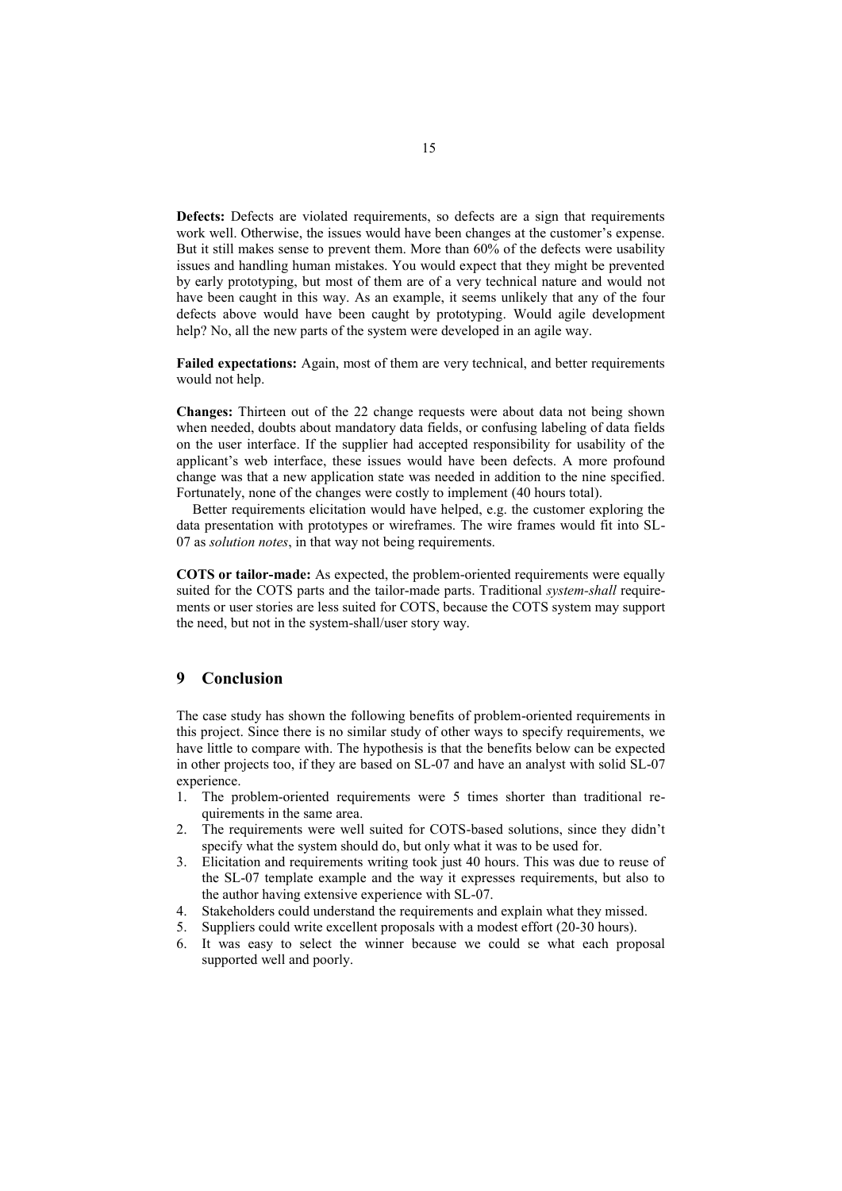**Defects:** Defects are violated requirements, so defects are a sign that requirements work well. Otherwise, the issues would have been changes at the customer's expense. But it still makes sense to prevent them. More than 60% of the defects were usability issues and handling human mistakes. You would expect that they might be prevented by early prototyping, but most of them are of a very technical nature and would not have been caught in this way. As an example, it seems unlikely that any of the four defects above would have been caught by prototyping. Would agile development help? No, all the new parts of the system were developed in an agile way.

**Failed expectations:** Again, most of them are very technical, and better requirements would not help.

**Changes:** Thirteen out of the 22 change requests were about data not being shown when needed, doubts about mandatory data fields, or confusing labeling of data fields on the user interface. If the supplier had accepted responsibility for usability of the applicant's web interface, these issues would have been defects. A more profound change was that a new application state was needed in addition to the nine specified. Fortunately, none of the changes were costly to implement (40 hours total).

Better requirements elicitation would have helped, e.g. the customer exploring the data presentation with prototypes or wireframes. The wire frames would fit into SL-07 as *solution notes*, in that way not being requirements.

**COTS or tailor-made:** As expected, the problem-oriented requirements were equally suited for the COTS parts and the tailor-made parts. Traditional *system-shall* requirements or user stories are less suited for COTS, because the COTS system may support the need, but not in the system-shall/user story way.

# **9 Conclusion**

The case study has shown the following benefits of problem-oriented requirements in this project. Since there is no similar study of other ways to specify requirements, we have little to compare with. The hypothesis is that the benefits below can be expected in other projects too, if they are based on SL-07 and have an analyst with solid SL-07 experience.

- 1. The problem-oriented requirements were 5 times shorter than traditional requirements in the same area.
- 2. The requirements were well suited for COTS-based solutions, since they didn't specify what the system should do, but only what it was to be used for.
- 3. Elicitation and requirements writing took just 40 hours. This was due to reuse of the SL-07 template example and the way it expresses requirements, but also to the author having extensive experience with SL-07.
- 4. Stakeholders could understand the requirements and explain what they missed.
- 5. Suppliers could write excellent proposals with a modest effort (20-30 hours).<br>6. It was easy to select the winner because we could se what each proposed.
- It was easy to select the winner because we could se what each proposal supported well and poorly.